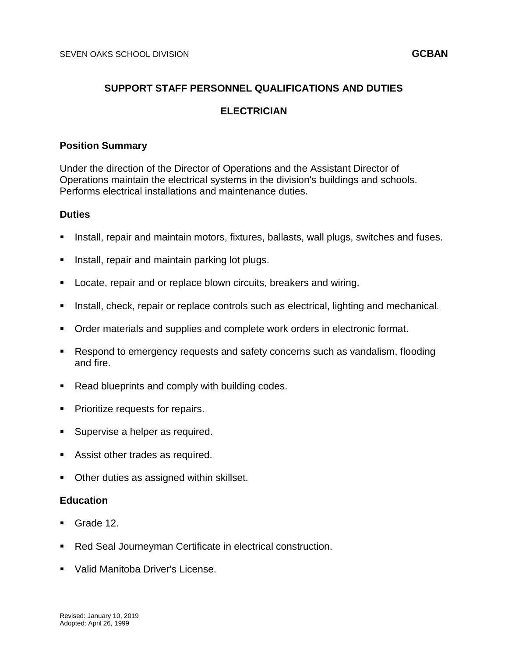# **SUPPORT STAFF PERSONNEL QUALIFICATIONS AND DUTIES**

# **ELECTRICIAN**

#### **Position Summary**

Under the direction of the Director of Operations and the Assistant Director of Operations maintain the electrical systems in the division's buildings and schools. Performs electrical installations and maintenance duties.

#### **Duties**

- Install, repair and maintain motors, fixtures, ballasts, wall plugs, switches and fuses.
- Install, repair and maintain parking lot plugs.
- Locate, repair and or replace blown circuits, breakers and wiring.
- Install, check, repair or replace controls such as electrical, lighting and mechanical.
- Order materials and supplies and complete work orders in electronic format.
- Respond to emergency requests and safety concerns such as vandalism, flooding and fire.
- Read blueprints and comply with building codes.
- **Prioritize requests for repairs.**
- **Supervise a helper as required.**
- Assist other trades as required.
- **Other duties as assigned within skillset.**

#### **Education**

- Grade 12.
- Red Seal Journeyman Certificate in electrical construction.
- Valid Manitoba Driver's License.